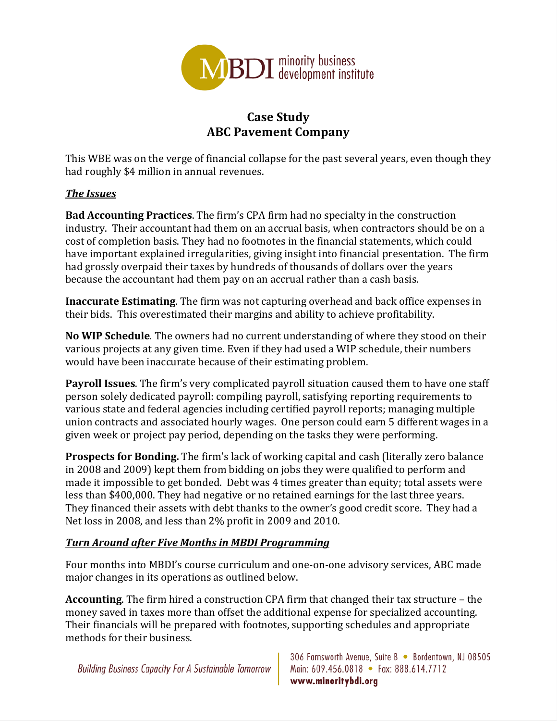

## **Case Study ABC Pavement Company**

This WBE was on the verge of financial collapse for the past several years, even though they had roughly \$4 million in annual revenues.

## **The Issues**

**Bad Accounting Practices**. The firm's CPA firm had no specialty in the construction industry. Their accountant had them on an accrual basis, when contractors should be on a cost of completion basis. They had no footnotes in the financial statements, which could have important explained irregularities, giving insight into financial presentation. The firm had grossly overpaid their taxes by hundreds of thousands of dollars over the years because the accountant had them pay on an accrual rather than a cash basis.

**Inaccurate Estimating**. The firm was not capturing overhead and back office expenses in their bids. This overestimated their margins and ability to achieve profitability.

**No** WIP Schedule. The owners had no current understanding of where they stood on their various projects at any given time. Even if they had used a WIP schedule, their numbers would have been inaccurate because of their estimating problem.

**Payroll Issues**. The firm's very complicated payroll situation caused them to have one staff person solely dedicated payroll: compiling payroll, satisfying reporting requirements to various state and federal agencies including certified payroll reports; managing multiple union contracts and associated hourly wages. One person could earn 5 different wages in a given week or project pay period, depending on the tasks they were performing.

**Prospects for Bonding.** The firm's lack of working capital and cash (literally zero balance in 2008 and 2009) kept them from bidding on jobs they were qualified to perform and made it impossible to get bonded. Debt was 4 times greater than equity; total assets were less than \$400,000. They had negative or no retained earnings for the last three years. They financed their assets with debt thanks to the owner's good credit score. They had a Net loss in 2008, and less than 2% profit in 2009 and 2010.

## *Turn Around after Five Months in MBDI Programming*

Four months into MBDI's course curriculum and one-on-one advisory services, ABC made major changes in its operations as outlined below.

**Accounting**. The firm hired a construction CPA firm that changed their tax structure – the money saved in taxes more than offset the additional expense for specialized accounting. Their financials will be prepared with footnotes, supporting schedules and appropriate methods for their business.

**Building Business Capacity For A Sustainable Tomorrow** 

306 Farnsworth Avenue, Suite B · Bordentown, NJ 08505 Main: 609.456.0818 • Fax: 888.614.7712 www.minoritybdi.org